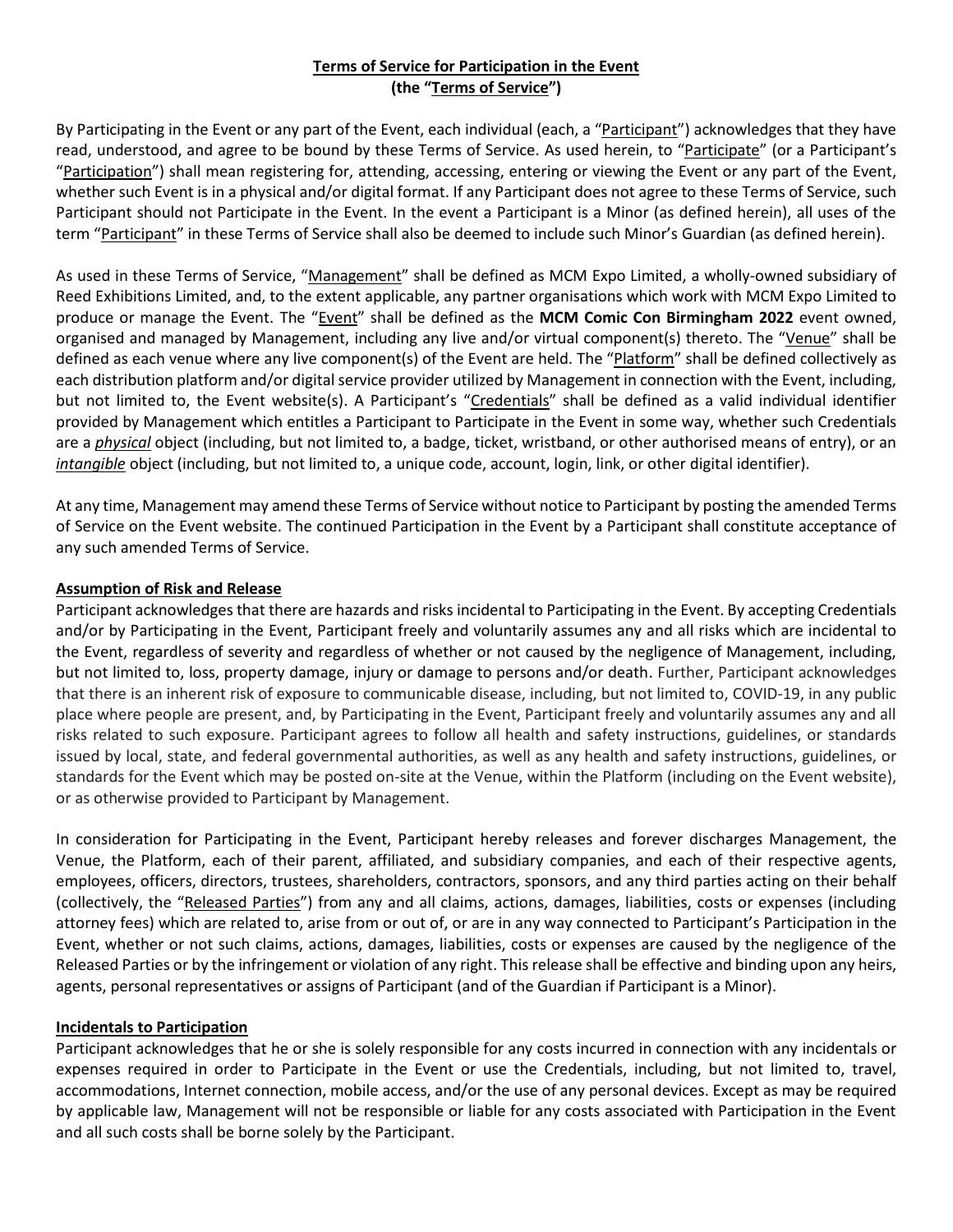# **Terms of Service for Participation in the Event (the "Terms of Service")**

By Participating in the Event or any part of the Event, each individual (each, a "Participant") acknowledges that they have read, understood, and agree to be bound by these Terms of Service. As used herein, to "Participate" (or a Participant's "Participation") shall mean registering for, attending, accessing, entering or viewing the Event or any part of the Event, whether such Event is in a physical and/or digital format. If any Participant does not agree to these Terms of Service, such Participant should not Participate in the Event. In the event a Participant is a Minor (as defined herein), all uses of the term "Participant" in these Terms of Service shall also be deemed to include such Minor's Guardian (as defined herein).

As used in these Terms of Service, "Management" shall be defined as MCM Expo Limited, a wholly-owned subsidiary of Reed Exhibitions Limited, and, to the extent applicable, any partner organisations which work with MCM Expo Limited to produce or manage the Event. The "Event" shall be defined as the **MCM Comic Con Birmingham 2022** event owned, organised and managed by Management, including any live and/or virtual component(s) thereto. The "Venue" shall be defined as each venue where any live component(s) of the Event are held. The "Platform" shall be defined collectively as each distribution platform and/or digital service provider utilized by Management in connection with the Event, including, but not limited to, the Event website(s). A Participant's "Credentials" shall be defined as a valid individual identifier provided by Management which entitles a Participant to Participate in the Event in some way, whether such Credentials are a *physical* object (including, but not limited to, a badge, ticket, wristband, or other authorised means of entry), or an *intangible* object (including, but not limited to, a unique code, account, login, link, or other digital identifier).

At any time, Management may amend these Terms of Service without notice to Participant by posting the amended Terms of Service on the Event website. The continued Participation in the Event by a Participant shall constitute acceptance of any such amended Terms of Service.

### **Assumption of Risk and Release**

Participant acknowledges that there are hazards and risks incidental to Participating in the Event. By accepting Credentials and/or by Participating in the Event, Participant freely and voluntarily assumes any and all risks which are incidental to the Event, regardless of severity and regardless of whether or not caused by the negligence of Management, including, but not limited to, loss, property damage, injury or damage to persons and/or death. Further, Participant acknowledges that there is an inherent risk of exposure to communicable disease, including, but not limited to, COVID-19, in any public place where people are present, and, by Participating in the Event, Participant freely and voluntarily assumes any and all risks related to such exposure. Participant agrees to follow all health and safety instructions, guidelines, or standards issued by local, state, and federal governmental authorities, as well as any health and safety instructions, guidelines, or standards for the Event which may be posted on-site at the Venue, within the Platform (including on the Event website), or as otherwise provided to Participant by Management.

In consideration for Participating in the Event, Participant hereby releases and forever discharges Management, the Venue, the Platform, each of their parent, affiliated, and subsidiary companies, and each of their respective agents, employees, officers, directors, trustees, shareholders, contractors, sponsors, and any third parties acting on their behalf (collectively, the "Released Parties") from any and all claims, actions, damages, liabilities, costs or expenses (including attorney fees) which are related to, arise from or out of, or are in any way connected to Participant's Participation in the Event, whether or not such claims, actions, damages, liabilities, costs or expenses are caused by the negligence of the Released Parties or by the infringement or violation of any right. This release shall be effective and binding upon any heirs, agents, personal representatives or assigns of Participant (and of the Guardian if Participant is a Minor).

### **Incidentals to Participation**

Participant acknowledges that he or she is solely responsible for any costs incurred in connection with any incidentals or expenses required in order to Participate in the Event or use the Credentials, including, but not limited to, travel, accommodations, Internet connection, mobile access, and/or the use of any personal devices. Except as may be required by applicable law, Management will not be responsible or liable for any costs associated with Participation in the Event and all such costs shall be borne solely by the Participant.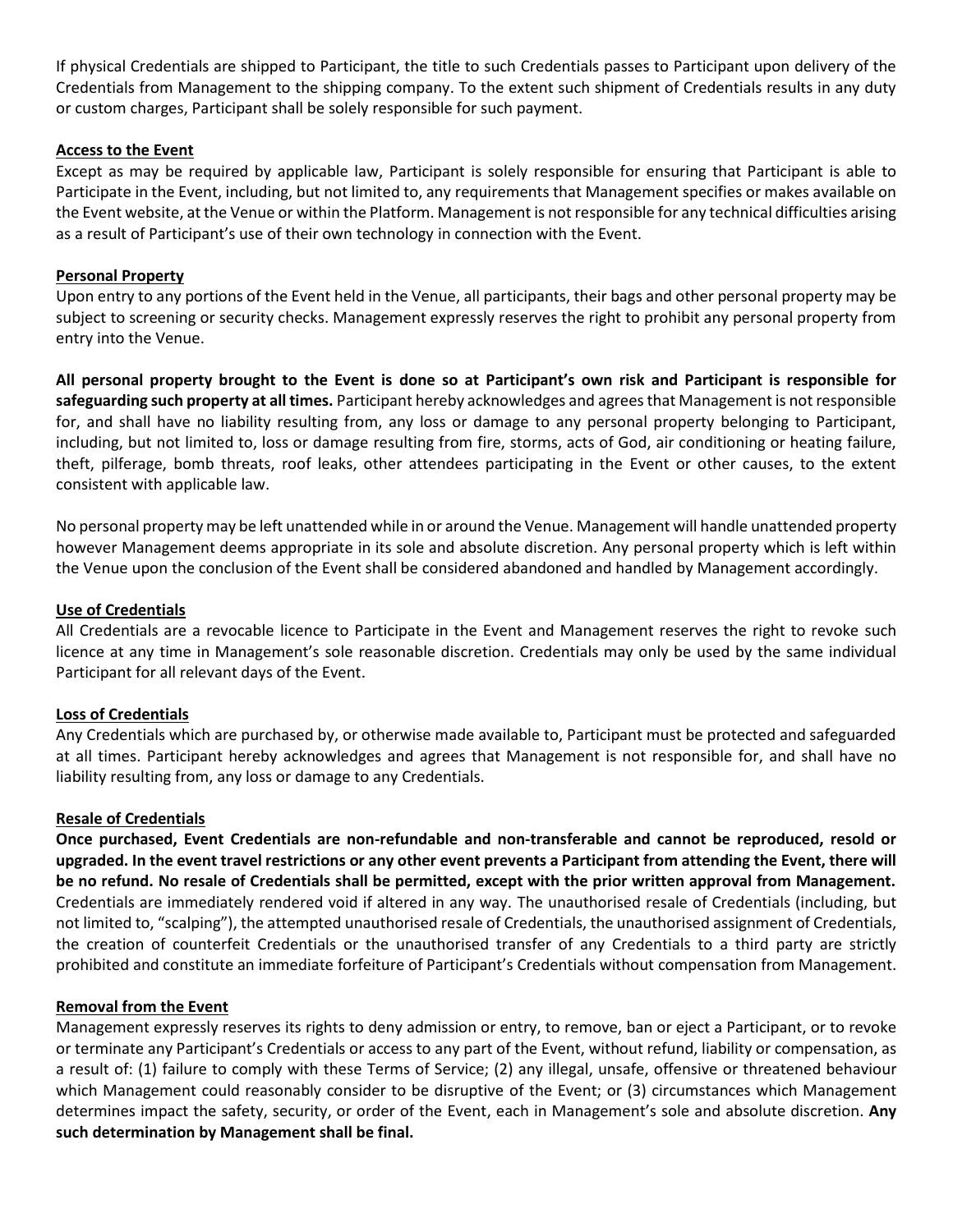If physical Credentials are shipped to Participant, the title to such Credentials passes to Participant upon delivery of the Credentials from Management to the shipping company. To the extent such shipment of Credentials results in any duty or custom charges, Participant shall be solely responsible for such payment.

### **Access to the Event**

Except as may be required by applicable law, Participant is solely responsible for ensuring that Participant is able to Participate in the Event, including, but not limited to, any requirements that Management specifies or makes available on the Event website, at the Venue or within the Platform. Management is not responsible for any technical difficulties arising as a result of Participant's use of their own technology in connection with the Event.

### **Personal Property**

Upon entry to any portions of the Event held in the Venue, all participants, their bags and other personal property may be subject to screening or security checks. Management expressly reserves the right to prohibit any personal property from entry into the Venue.

**All personal property brought to the Event is done so at Participant's own risk and Participant is responsible for safeguarding such property at all times.** Participant hereby acknowledges and agrees that Management is not responsible for, and shall have no liability resulting from, any loss or damage to any personal property belonging to Participant, including, but not limited to, loss or damage resulting from fire, storms, acts of God, air conditioning or heating failure, theft, pilferage, bomb threats, roof leaks, other attendees participating in the Event or other causes, to the extent consistent with applicable law.

No personal property may be left unattended while in or around the Venue. Management will handle unattended property however Management deems appropriate in its sole and absolute discretion. Any personal property which is left within the Venue upon the conclusion of the Event shall be considered abandoned and handled by Management accordingly.

#### **Use of Credentials**

All Credentials are a revocable licence to Participate in the Event and Management reserves the right to revoke such licence at any time in Management's sole reasonable discretion. Credentials may only be used by the same individual Participant for all relevant days of the Event.

### **Loss of Credentials**

Any Credentials which are purchased by, or otherwise made available to, Participant must be protected and safeguarded at all times. Participant hereby acknowledges and agrees that Management is not responsible for, and shall have no liability resulting from, any loss or damage to any Credentials.

#### **Resale of Credentials**

**Once purchased, Event Credentials are non-refundable and non-transferable and cannot be reproduced, resold or upgraded. In the event travel restrictions or any other event prevents a Participant from attending the Event, there will be no refund. No resale of Credentials shall be permitted, except with the prior written approval from Management.** Credentials are immediately rendered void if altered in any way. The unauthorised resale of Credentials (including, but not limited to, "scalping"), the attempted unauthorised resale of Credentials, the unauthorised assignment of Credentials, the creation of counterfeit Credentials or the unauthorised transfer of any Credentials to a third party are strictly prohibited and constitute an immediate forfeiture of Participant's Credentials without compensation from Management.

#### **Removal from the Event**

Management expressly reserves its rights to deny admission or entry, to remove, ban or eject a Participant, or to revoke or terminate any Participant's Credentials or access to any part of the Event, without refund, liability or compensation, as a result of: (1) failure to comply with these Terms of Service; (2) any illegal, unsafe, offensive or threatened behaviour which Management could reasonably consider to be disruptive of the Event; or (3) circumstances which Management determines impact the safety, security, or order of the Event, each in Management's sole and absolute discretion. **Any such determination by Management shall be final.**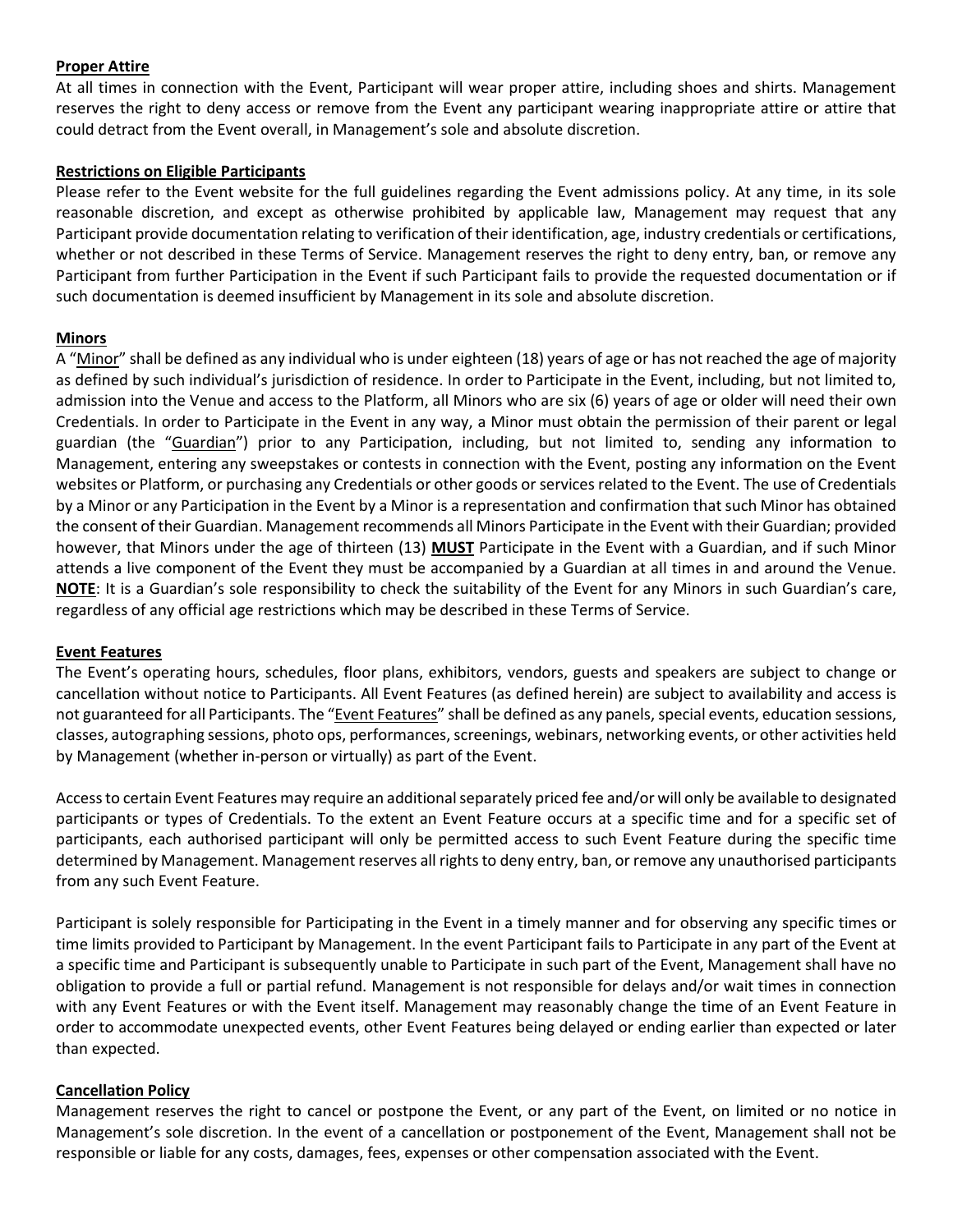### **Proper Attire**

At all times in connection with the Event, Participant will wear proper attire, including shoes and shirts. Management reserves the right to deny access or remove from the Event any participant wearing inappropriate attire or attire that could detract from the Event overall, in Management's sole and absolute discretion.

### **Restrictions on Eligible Participants**

Please refer to the Event website for the full guidelines regarding the Event admissions policy. At any time, in its sole reasonable discretion, and except as otherwise prohibited by applicable law, Management may request that any Participant provide documentation relating to verification of their identification, age, industry credentials or certifications, whether or not described in these Terms of Service. Management reserves the right to deny entry, ban, or remove any Participant from further Participation in the Event if such Participant fails to provide the requested documentation or if such documentation is deemed insufficient by Management in its sole and absolute discretion.

#### **Minors**

A "Minor" shall be defined as any individual who is under eighteen (18) years of age or has not reached the age of majority as defined by such individual's jurisdiction of residence. In order to Participate in the Event, including, but not limited to, admission into the Venue and access to the Platform, all Minors who are six (6) years of age or older will need their own Credentials. In order to Participate in the Event in any way, a Minor must obtain the permission of their parent or legal guardian (the "Guardian") prior to any Participation, including, but not limited to, sending any information to Management, entering any sweepstakes or contests in connection with the Event, posting any information on the Event websites or Platform, or purchasing any Credentials or other goods or services related to the Event. The use of Credentials by a Minor or any Participation in the Event by a Minor is a representation and confirmation that such Minor has obtained the consent of their Guardian. Management recommends all Minors Participate in the Event with their Guardian; provided however, that Minors under the age of thirteen (13) **MUST** Participate in the Event with a Guardian, and if such Minor attends a live component of the Event they must be accompanied by a Guardian at all times in and around the Venue. **NOTE**: It is a Guardian's sole responsibility to check the suitability of the Event for any Minors in such Guardian's care, regardless of any official age restrictions which may be described in these Terms of Service.

### **Event Features**

The Event's operating hours, schedules, floor plans, exhibitors, vendors, guests and speakers are subject to change or cancellation without notice to Participants. All Event Features (as defined herein) are subject to availability and access is not guaranteed for all Participants. The "Event Features" shall be defined as any panels, special events, education sessions, classes, autographing sessions, photo ops, performances, screenings, webinars, networking events, or other activities held by Management (whether in-person or virtually) as part of the Event.

Access to certain Event Features may require an additional separately priced fee and/or will only be available to designated participants or types of Credentials. To the extent an Event Feature occurs at a specific time and for a specific set of participants, each authorised participant will only be permitted access to such Event Feature during the specific time determined by Management. Management reserves all rights to deny entry, ban, or remove any unauthorised participants from any such Event Feature.

Participant is solely responsible for Participating in the Event in a timely manner and for observing any specific times or time limits provided to Participant by Management. In the event Participant fails to Participate in any part of the Event at a specific time and Participant is subsequently unable to Participate in such part of the Event, Management shall have no obligation to provide a full or partial refund. Management is not responsible for delays and/or wait times in connection with any Event Features or with the Event itself. Management may reasonably change the time of an Event Feature in order to accommodate unexpected events, other Event Features being delayed or ending earlier than expected or later than expected.

### **Cancellation Policy**

Management reserves the right to cancel or postpone the Event, or any part of the Event, on limited or no notice in Management's sole discretion. In the event of a cancellation or postponement of the Event, Management shall not be responsible or liable for any costs, damages, fees, expenses or other compensation associated with the Event.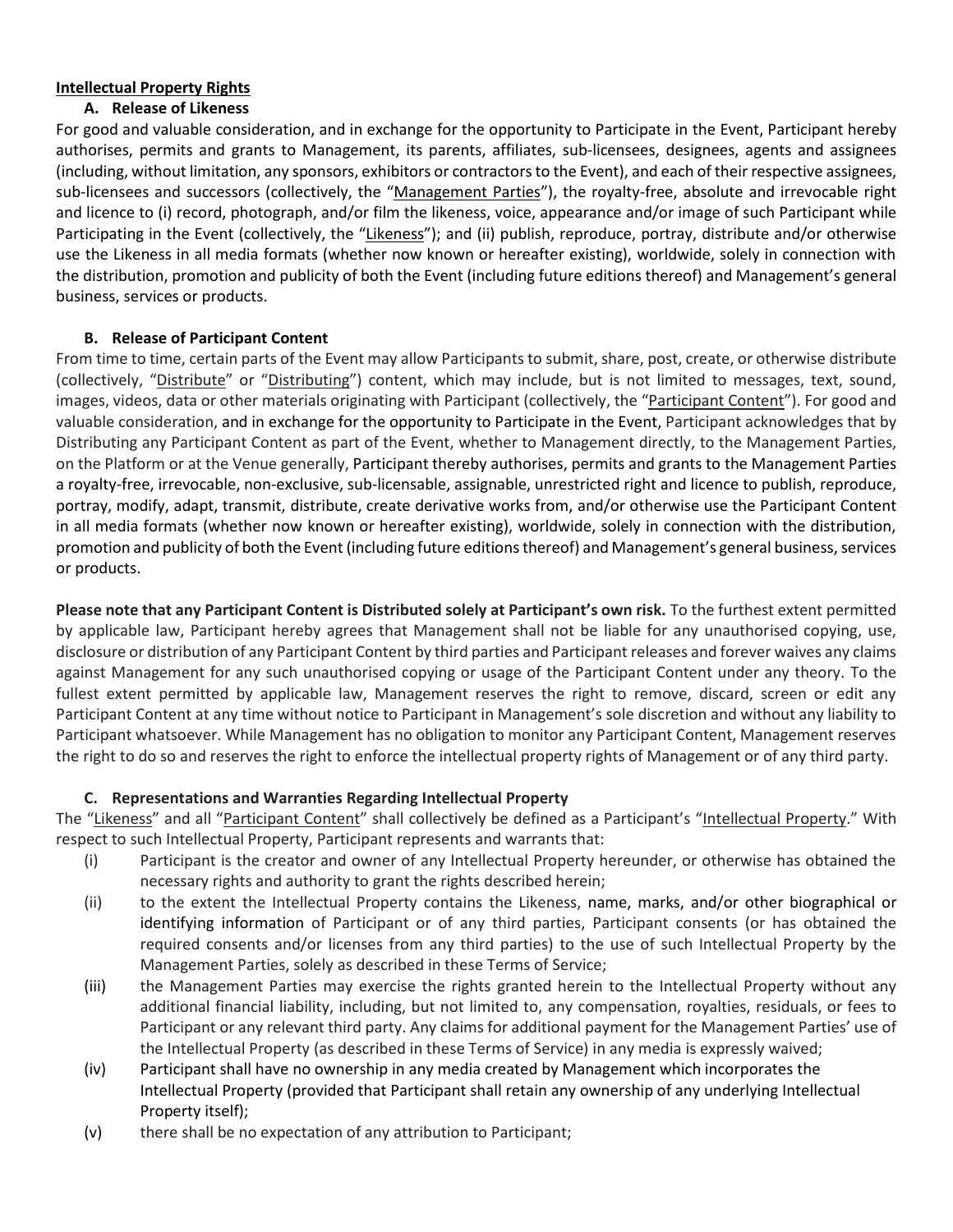## **Intellectual Property Rights**

### **A. Release of Likeness**

For good and valuable consideration, and in exchange for the opportunity to Participate in the Event, Participant hereby authorises, permits and grants to Management, its parents, affiliates, sub-licensees, designees, agents and assignees (including, without limitation, any sponsors, exhibitors or contractorsto the Event), and each of their respective assignees, sub-licensees and successors (collectively, the "Management Parties"), the royalty-free, absolute and irrevocable right and licence to (i) record, photograph, and/or film the likeness, voice, appearance and/or image of such Participant while Participating in the Event (collectively, the "Likeness"); and (ii) publish, reproduce, portray, distribute and/or otherwise use the Likeness in all media formats (whether now known or hereafter existing), worldwide, solely in connection with the distribution, promotion and publicity of both the Event (including future editions thereof) and Management's general business, services or products.

## **B. Release of Participant Content**

From time to time, certain parts of the Event may allow Participants to submit, share, post, create, or otherwise distribute (collectively, "Distribute" or "Distributing") content, which may include, but is not limited to messages, text, sound, images, videos, data or other materials originating with Participant (collectively, the "Participant Content"). For good and valuable consideration, and in exchange for the opportunity to Participate in the Event, Participant acknowledges that by Distributing any Participant Content as part of the Event, whether to Management directly, to the Management Parties, on the Platform or at the Venue generally, Participant thereby authorises, permits and grants to the Management Parties a royalty-free, irrevocable, non-exclusive, sub-licensable, assignable, unrestricted right and licence to publish, reproduce, portray, modify, adapt, transmit, distribute, create derivative works from, and/or otherwise use the Participant Content in all media formats (whether now known or hereafter existing), worldwide, solely in connection with the distribution, promotion and publicity of both the Event (including future editions thereof) and Management's general business, services or products.

**Please note that any Participant Content is Distributed solely at Participant's own risk.** To the furthest extent permitted by applicable law, Participant hereby agrees that Management shall not be liable for any unauthorised copying, use, disclosure or distribution of any Participant Content by third parties and Participant releases and forever waives any claims against Management for any such unauthorised copying or usage of the Participant Content under any theory. To the fullest extent permitted by applicable law, Management reserves the right to remove, discard, screen or edit any Participant Content at any time without notice to Participant in Management's sole discretion and without any liability to Participant whatsoever. While Management has no obligation to monitor any Participant Content, Management reserves the right to do so and reserves the right to enforce the intellectual property rights of Management or of any third party.

# **C. Representations and Warranties Regarding Intellectual Property**

The "Likeness" and all "Participant Content" shall collectively be defined as a Participant's "Intellectual Property." With respect to such Intellectual Property, Participant represents and warrants that:

- (i) Participant is the creator and owner of any Intellectual Property hereunder, or otherwise has obtained the necessary rights and authority to grant the rights described herein;
- (ii) to the extent the Intellectual Property contains the Likeness, name, marks, and/or other biographical or identifying information of Participant or of any third parties, Participant consents (or has obtained the required consents and/or licenses from any third parties) to the use of such Intellectual Property by the Management Parties, solely as described in these Terms of Service;
- (iii) the Management Parties may exercise the rights granted herein to the Intellectual Property without any additional financial liability, including, but not limited to, any compensation, royalties, residuals, or fees to Participant or any relevant third party. Any claims for additional payment for the Management Parties' use of the Intellectual Property (as described in these Terms of Service) in any media is expressly waived;
- (iv) Participant shall have no ownership in any media created by Management which incorporates the Intellectual Property (provided that Participant shall retain any ownership of any underlying Intellectual Property itself);
- (v) there shall be no expectation of any attribution to Participant;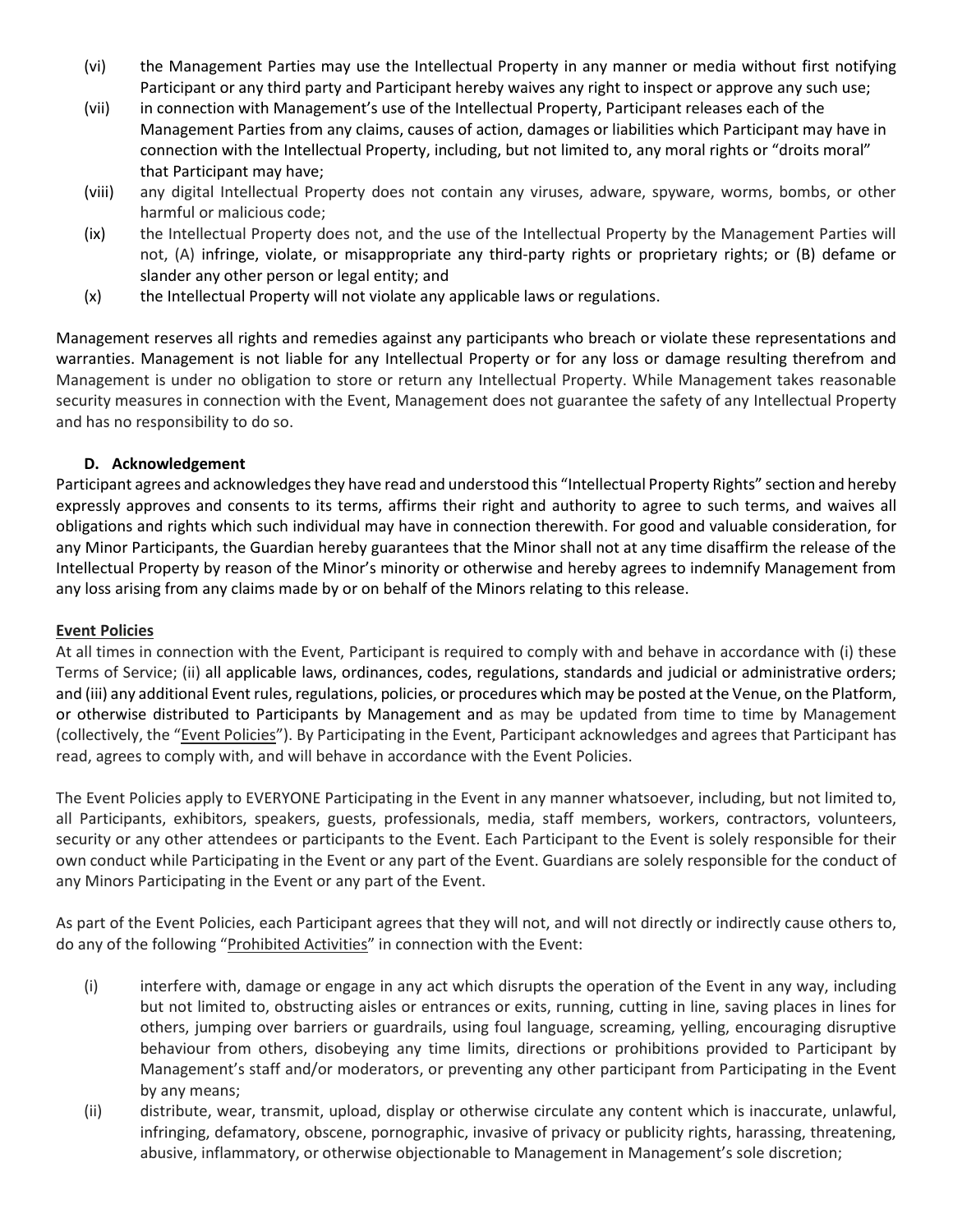- (vi) the Management Parties may use the Intellectual Property in any manner or media without first notifying Participant or any third party and Participant hereby waives any right to inspect or approve any such use;
- (vii) in connection with Management's use of the Intellectual Property, Participant releases each of the Management Parties from any claims, causes of action, damages or liabilities which Participant may have in connection with the Intellectual Property, including, but not limited to, any moral rights or "droits moral" that Participant may have;
- (viii) any digital Intellectual Property does not contain any viruses, adware, spyware, worms, bombs, or other harmful or malicious code;
- (ix) the Intellectual Property does not, and the use of the Intellectual Property by the Management Parties will not, (A) infringe, violate, or misappropriate any third-party rights or proprietary rights; or (B) defame or slander any other person or legal entity; and
- (x) the Intellectual Property will not violate any applicable laws or regulations.

Management reserves all rights and remedies against any participants who breach or violate these representations and warranties. Management is not liable for any Intellectual Property or for any loss or damage resulting therefrom and Management is under no obligation to store or return any Intellectual Property. While Management takes reasonable security measures in connection with the Event, Management does not guarantee the safety of any Intellectual Property and has no responsibility to do so.

## **D. Acknowledgement**

Participant agrees and acknowledges they have read and understood this "Intellectual Property Rights" section and hereby expressly approves and consents to its terms, affirms their right and authority to agree to such terms, and waives all obligations and rights which such individual may have in connection therewith. For good and valuable consideration, for any Minor Participants, the Guardian hereby guarantees that the Minor shall not at any time disaffirm the release of the Intellectual Property by reason of the Minor's minority or otherwise and hereby agrees to indemnify Management from any loss arising from any claims made by or on behalf of the Minors relating to this release.

### **Event Policies**

At all times in connection with the Event, Participant is required to comply with and behave in accordance with (i) these Terms of Service; (ii) all applicable laws, ordinances, codes, regulations, standards and judicial or administrative orders; and (iii) any additional Event rules, regulations, policies, or procedures which may be posted at the Venue, on the Platform, or otherwise distributed to Participants by Management and as may be updated from time to time by Management (collectively, the "Event Policies"). By Participating in the Event, Participant acknowledges and agrees that Participant has read, agrees to comply with, and will behave in accordance with the Event Policies.

The Event Policies apply to EVERYONE Participating in the Event in any manner whatsoever, including, but not limited to, all Participants, exhibitors, speakers, guests, professionals, media, staff members, workers, contractors, volunteers, security or any other attendees or participants to the Event. Each Participant to the Event is solely responsible for their own conduct while Participating in the Event or any part of the Event. Guardians are solely responsible for the conduct of any Minors Participating in the Event or any part of the Event.

As part of the Event Policies, each Participant agrees that they will not, and will not directly or indirectly cause others to, do any of the following "Prohibited Activities" in connection with the Event:

- (i) interfere with, damage or engage in any act which disrupts the operation of the Event in any way, including but not limited to, obstructing aisles or entrances or exits, running, cutting in line, saving places in lines for others, jumping over barriers or guardrails, using foul language, screaming, yelling, encouraging disruptive behaviour from others, disobeying any time limits, directions or prohibitions provided to Participant by Management's staff and/or moderators, or preventing any other participant from Participating in the Event by any means;
- (ii) distribute, wear, transmit, upload, display or otherwise circulate any content which is inaccurate, unlawful, infringing, defamatory, obscene, pornographic, invasive of privacy or publicity rights, harassing, threatening, abusive, inflammatory, or otherwise objectionable to Management in Management's sole discretion;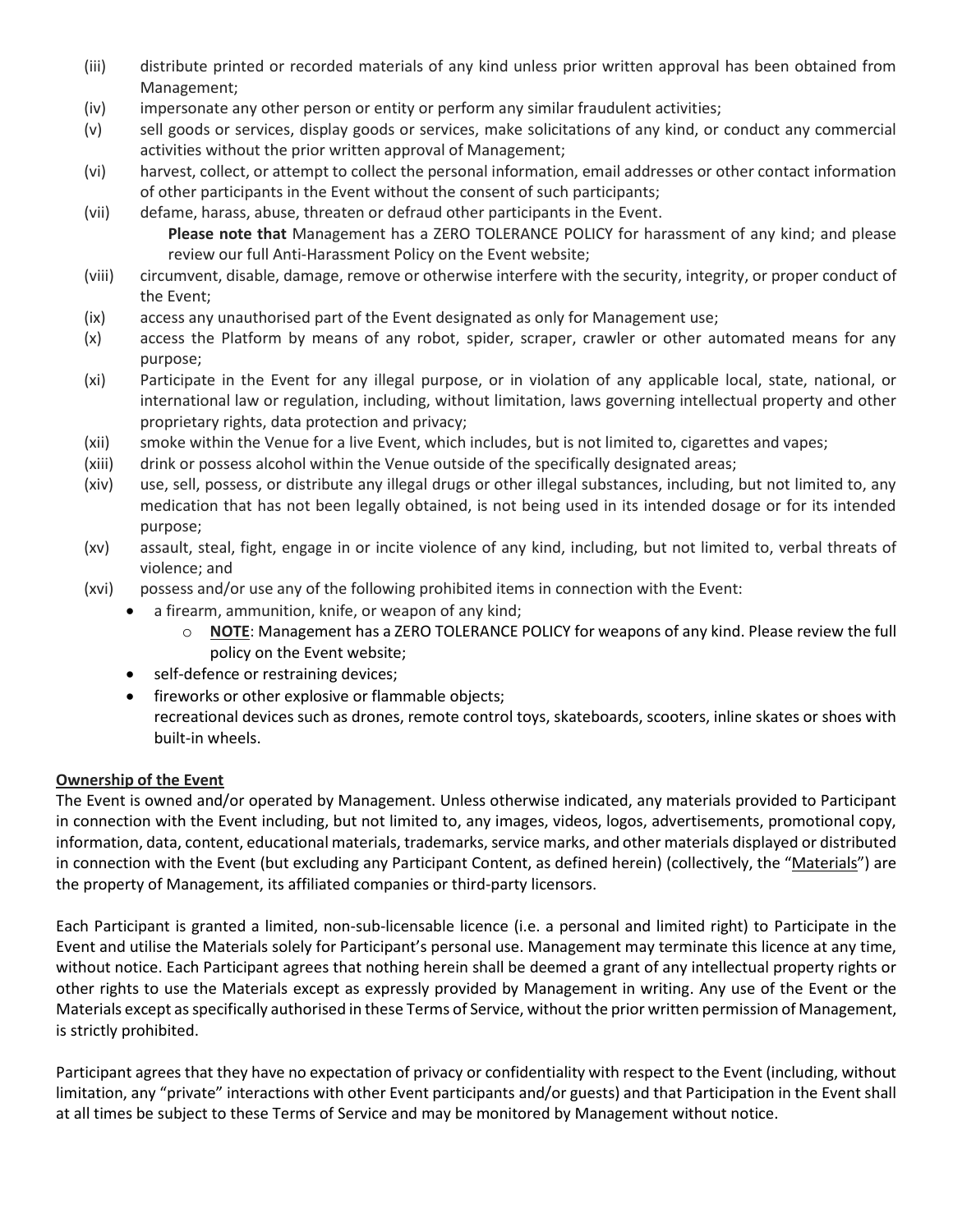- (iii) distribute printed or recorded materials of any kind unless prior written approval has been obtained from Management;
- (iv) impersonate any other person or entity or perform any similar fraudulent activities;
- (v) sell goods or services, display goods or services, make solicitations of any kind, or conduct any commercial activities without the prior written approval of Management;
- (vi) harvest, collect, or attempt to collect the personal information, email addresses or other contact information of other participants in the Event without the consent of such participants;
- (vii) defame, harass, abuse, threaten or defraud other participants in the Event. **Please note that** Management has a ZERO TOLERANCE POLICY for harassment of any kind; and please review our full Anti-Harassment Policy on the Event website;
- (viii) circumvent, disable, damage, remove or otherwise interfere with the security, integrity, or proper conduct of the Event;
- (ix) access any unauthorised part of the Event designated as only for Management use;
- (x) access the Platform by means of any robot, spider, scraper, crawler or other automated means for any purpose;
- (xi) Participate in the Event for any illegal purpose, or in violation of any applicable local, state, national, or international law or regulation, including, without limitation, laws governing intellectual property and other proprietary rights, data protection and privacy;
- (xii) smoke within the Venue for a live Event, which includes, but is not limited to, cigarettes and vapes;
- (xiii) drink or possess alcohol within the Venue outside of the specifically designated areas;
- (xiv) use, sell, possess, or distribute any illegal drugs or other illegal substances, including, but not limited to, any medication that has not been legally obtained, is not being used in its intended dosage or for its intended purpose;
- (xv) assault, steal, fight, engage in or incite violence of any kind, including, but not limited to, verbal threats of violence; and
- (xvi) possess and/or use any of the following prohibited items in connection with the Event:
	- a firearm, ammunition, knife, or weapon of any kind;
		- o **NOTE**: Management has a ZERO TOLERANCE POLICY for weapons of any kind. Please review the full policy on the Event website;
	- self-defence or restraining devices;
	- fireworks or other explosive or flammable objects;
	- recreational devices such as drones, remote control toys, skateboards, scooters, inline skates or shoes with built-in wheels.

# **Ownership of the Event**

The Event is owned and/or operated by Management. Unless otherwise indicated, any materials provided to Participant in connection with the Event including, but not limited to, any images, videos, logos, advertisements, promotional copy, information, data, content, educational materials, trademarks, service marks, and other materials displayed or distributed in connection with the Event (but excluding any Participant Content, as defined herein) (collectively, the "Materials") are the property of Management, its affiliated companies or third-party licensors.

Each Participant is granted a limited, non-sub-licensable licence (i.e. a personal and limited right) to Participate in the Event and utilise the Materials solely for Participant's personal use. Management may terminate this licence at any time, without notice. Each Participant agrees that nothing herein shall be deemed a grant of any intellectual property rights or other rights to use the Materials except as expressly provided by Management in writing. Any use of the Event or the Materials except as specifically authorised in these Terms of Service, without the prior written permission of Management, is strictly prohibited.

Participant agrees that they have no expectation of privacy or confidentiality with respect to the Event (including, without limitation, any "private" interactions with other Event participants and/or guests) and that Participation in the Event shall at all times be subject to these Terms of Service and may be monitored by Management without notice.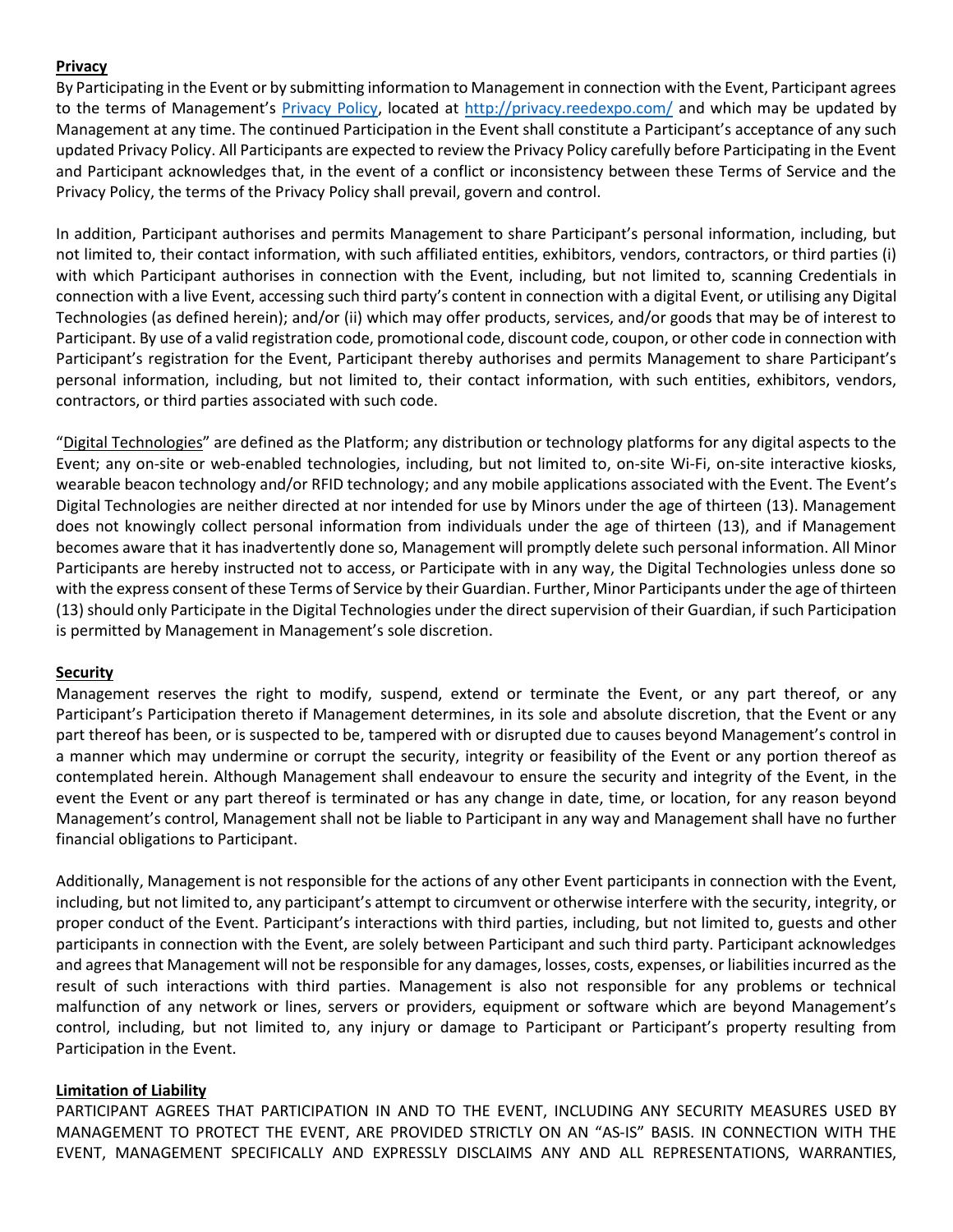## **Privacy**

By Participating in the Event or by submitting information to Management in connection with the Event, Participant agrees to the terms of Management's [Privacy Policy,](https://privacy.reedexpo.com/en-us.html) located at [http://privacy.reedexpo.com/](http://privacy.reedexpo.com/en-us.html) and which may be updated by Management at any time. The continued Participation in the Event shall constitute a Participant's acceptance of any such updated Privacy Policy. All Participants are expected to review the Privacy Policy carefully before Participating in the Event and Participant acknowledges that, in the event of a conflict or inconsistency between these Terms of Service and the Privacy Policy, the terms of the Privacy Policy shall prevail, govern and control.

In addition, Participant authorises and permits Management to share Participant's personal information, including, but not limited to, their contact information, with such affiliated entities, exhibitors, vendors, contractors, or third parties (i) with which Participant authorises in connection with the Event, including, but not limited to, scanning Credentials in connection with a live Event, accessing such third party's content in connection with a digital Event, or utilising any Digital Technologies (as defined herein); and/or (ii) which may offer products, services, and/or goods that may be of interest to Participant. By use of a valid registration code, promotional code, discount code, coupon, or other code in connection with Participant's registration for the Event, Participant thereby authorises and permits Management to share Participant's personal information, including, but not limited to, their contact information, with such entities, exhibitors, vendors, contractors, or third parties associated with such code.

"Digital Technologies" are defined as the Platform; any distribution or technology platforms for any digital aspects to the Event; any on-site or web-enabled technologies, including, but not limited to, on-site Wi-Fi, on-site interactive kiosks, wearable beacon technology and/or RFID technology; and any mobile applications associated with the Event. The Event's Digital Technologies are neither directed at nor intended for use by Minors under the age of thirteen (13). Management does not knowingly collect personal information from individuals under the age of thirteen (13), and if Management becomes aware that it has inadvertently done so, Management will promptly delete such personal information. All Minor Participants are hereby instructed not to access, or Participate with in any way, the Digital Technologies unless done so with the express consent of these Terms of Service by their Guardian. Further, Minor Participants under the age of thirteen (13) should only Participate in the Digital Technologies under the direct supervision of their Guardian, if such Participation is permitted by Management in Management's sole discretion.

### **Security**

Management reserves the right to modify, suspend, extend or terminate the Event, or any part thereof, or any Participant's Participation thereto if Management determines, in its sole and absolute discretion, that the Event or any part thereof has been, or is suspected to be, tampered with or disrupted due to causes beyond Management's control in a manner which may undermine or corrupt the security, integrity or feasibility of the Event or any portion thereof as contemplated herein. Although Management shall endeavour to ensure the security and integrity of the Event, in the event the Event or any part thereof is terminated or has any change in date, time, or location, for any reason beyond Management's control, Management shall not be liable to Participant in any way and Management shall have no further financial obligations to Participant.

Additionally, Management is not responsible for the actions of any other Event participants in connection with the Event, including, but not limited to, any participant's attempt to circumvent or otherwise interfere with the security, integrity, or proper conduct of the Event. Participant's interactions with third parties, including, but not limited to, guests and other participants in connection with the Event, are solely between Participant and such third party. Participant acknowledges and agrees that Management will not be responsible for any damages, losses, costs, expenses, or liabilities incurred as the result of such interactions with third parties. Management is also not responsible for any problems or technical malfunction of any network or lines, servers or providers, equipment or software which are beyond Management's control, including, but not limited to, any injury or damage to Participant or Participant's property resulting from Participation in the Event.

### **Limitation of Liability**

PARTICIPANT AGREES THAT PARTICIPATION IN AND TO THE EVENT, INCLUDING ANY SECURITY MEASURES USED BY MANAGEMENT TO PROTECT THE EVENT, ARE PROVIDED STRICTLY ON AN "AS-IS" BASIS. IN CONNECTION WITH THE EVENT, MANAGEMENT SPECIFICALLY AND EXPRESSLY DISCLAIMS ANY AND ALL REPRESENTATIONS, WARRANTIES,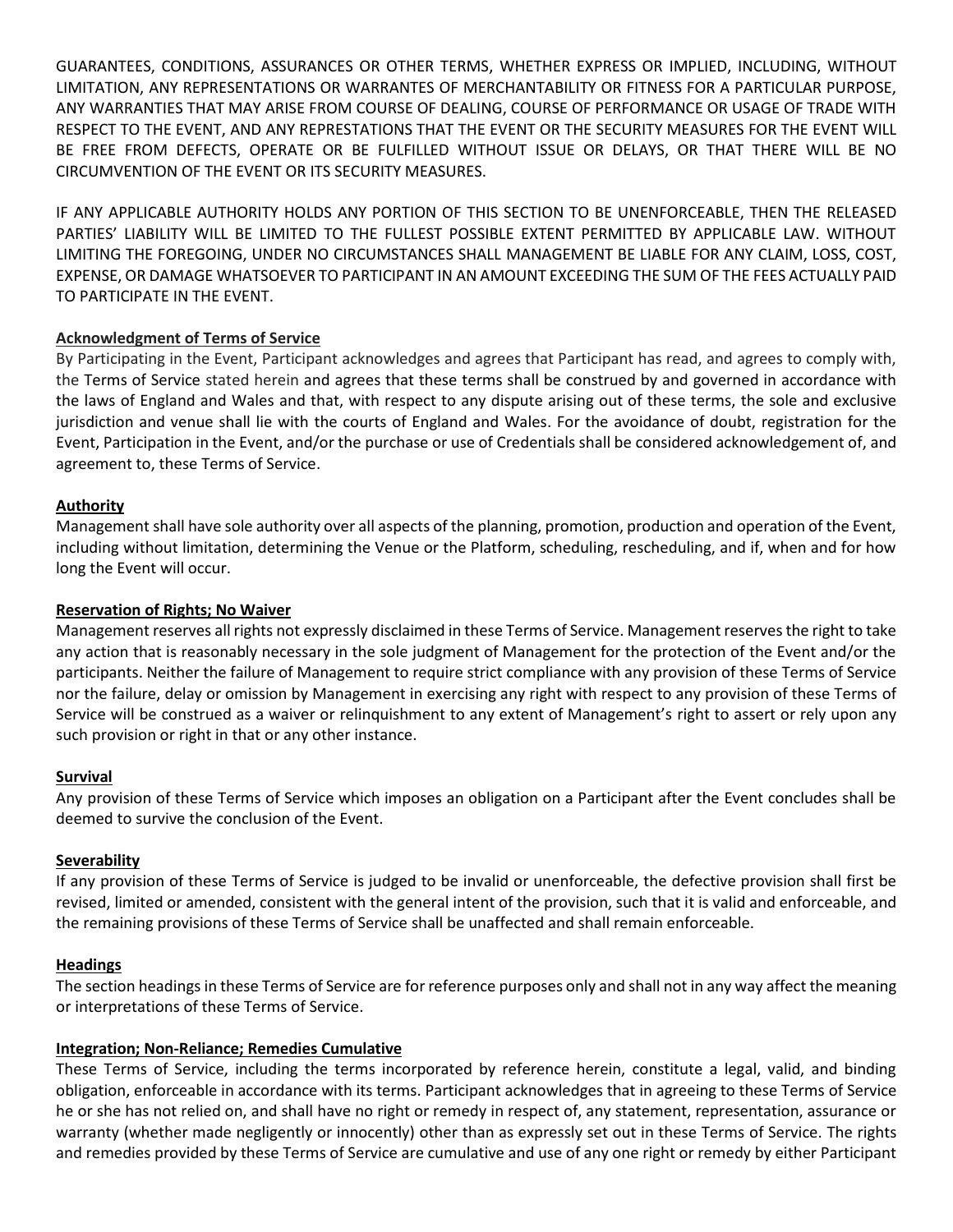GUARANTEES, CONDITIONS, ASSURANCES OR OTHER TERMS, WHETHER EXPRESS OR IMPLIED, INCLUDING, WITHOUT LIMITATION, ANY REPRESENTATIONS OR WARRANTES OF MERCHANTABILITY OR FITNESS FOR A PARTICULAR PURPOSE, ANY WARRANTIES THAT MAY ARISE FROM COURSE OF DEALING, COURSE OF PERFORMANCE OR USAGE OF TRADE WITH RESPECT TO THE EVENT, AND ANY REPRESTATIONS THAT THE EVENT OR THE SECURITY MEASURES FOR THE EVENT WILL BE FREE FROM DEFECTS, OPERATE OR BE FULFILLED WITHOUT ISSUE OR DELAYS, OR THAT THERE WILL BE NO CIRCUMVENTION OF THE EVENT OR ITS SECURITY MEASURES.

IF ANY APPLICABLE AUTHORITY HOLDS ANY PORTION OF THIS SECTION TO BE UNENFORCEABLE, THEN THE RELEASED PARTIES' LIABILITY WILL BE LIMITED TO THE FULLEST POSSIBLE EXTENT PERMITTED BY APPLICABLE LAW. WITHOUT LIMITING THE FOREGOING, UNDER NO CIRCUMSTANCES SHALL MANAGEMENT BE LIABLE FOR ANY CLAIM, LOSS, COST, EXPENSE, OR DAMAGE WHATSOEVER TO PARTICIPANT IN AN AMOUNT EXCEEDING THE SUM OF THE FEES ACTUALLY PAID TO PARTICIPATE IN THE EVENT.

## **Acknowledgment of Terms of Service**

By Participating in the Event, Participant acknowledges and agrees that Participant has read, and agrees to comply with, the Terms of Service stated herein and agrees that these terms shall be construed by and governed in accordance with the laws of England and Wales and that, with respect to any dispute arising out of these terms, the sole and exclusive jurisdiction and venue shall lie with the courts of England and Wales. For the avoidance of doubt, registration for the Event, Participation in the Event, and/or the purchase or use of Credentials shall be considered acknowledgement of, and agreement to, these Terms of Service.

### **Authority**

Management shall have sole authority over all aspects of the planning, promotion, production and operation of the Event, including without limitation, determining the Venue or the Platform, scheduling, rescheduling, and if, when and for how long the Event will occur.

## **Reservation of Rights; No Waiver**

Management reserves all rights not expressly disclaimed in these Terms of Service. Management reserves the right to take any action that is reasonably necessary in the sole judgment of Management for the protection of the Event and/or the participants. Neither the failure of Management to require strict compliance with any provision of these Terms of Service nor the failure, delay or omission by Management in exercising any right with respect to any provision of these Terms of Service will be construed as a waiver or relinquishment to any extent of Management's right to assert or rely upon any such provision or right in that or any other instance.

### **Survival**

Any provision of these Terms of Service which imposes an obligation on a Participant after the Event concludes shall be deemed to survive the conclusion of the Event.

### **Severability**

If any provision of these Terms of Service is judged to be invalid or unenforceable, the defective provision shall first be revised, limited or amended, consistent with the general intent of the provision, such that it is valid and enforceable, and the remaining provisions of these Terms of Service shall be unaffected and shall remain enforceable.

# **Headings**

The section headings in these Terms of Service are for reference purposes only and shall not in any way affect the meaning or interpretations of these Terms of Service.

### **Integration; Non-Reliance; Remedies Cumulative**

These Terms of Service, including the terms incorporated by reference herein, constitute a legal, valid, and binding obligation, enforceable in accordance with its terms. Participant acknowledges that in agreeing to these Terms of Service he or she has not relied on, and shall have no right or remedy in respect of, any statement, representation, assurance or warranty (whether made negligently or innocently) other than as expressly set out in these Terms of Service. The rights and remedies provided by these Terms of Service are cumulative and use of any one right or remedy by either Participant